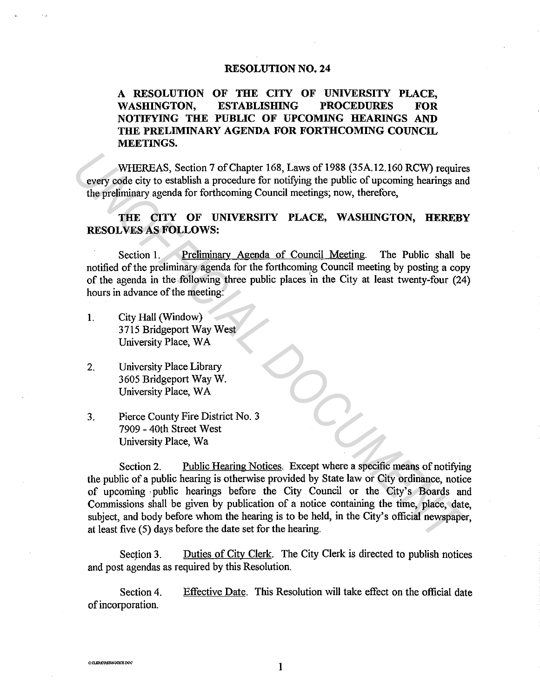## RESOLUTION NO. 24

## A RESOLUTION OF THE CITY OF UNIVERSITY PLACE, WASHINGTON, ESTABLISHING PROCEDURES FOR NOTIFYING THE PUBLIC OF UPCOMING HEARINGS AND THE PRELIMINARY AGENDA FOR FORTHCOMING COUNCIL MEETINGS.

WHEREAS, Section 7 of Chapter 168, Laws of 1988 (35A.12.160 RCW) requires every code city to establish a procedure for notifying the public of upcoming hearings and the preliminary agenda for forthcoming Council meetings; now, therefore,

## THE CITY OF UNIVERSITY PLACE, WASHINGTON, HEREBY RESOLVES AS FOLLOWS:

Section 1. Preliminary Agenda of Council Meeting. The Public shall be notified of the preliminary agenda for the forthcoming Council meeting by posting a copy of the agenda in the following three public places in the City at least twenty-four (24) hours in advance of the meeting:

- I. City Hall (Window) 3715 Bridgeport Way West University Place, WA
- 2. University Place Library 3605 Bridgeport Way W. University Place, WA
- 3. Pierce County Fire District No. 3 7909 - 40th Street West University Place, Wa

Section 2. Public Hearing Notices. Except where a specific means of notifying the public of a public hearing is otherwise provided by State law or City ordinance, notice of upcoming , public hearings before the City Council or the City's Boards and Commissions shall be given by publication of a notice containing the time, place, date, subject, and body before whom the hearing is to be held, in the City's official newspaper, at least five (5) days before the date set for the hearing. WHEREAS, Section 7 of Chapter 168, Laws of 1988 (35A.12.160 RCW) require<br>
every code city to establish a procedure for notifying the public of upcoming hearings and<br>
the preliminary agenda for forthcoming Council meetings,

Section 3. Duties of City Clerk. The City Clerk is directed to publish notices and post agendas as required by this Resolution.

Section 4. of incorporation. Effective Date. This Resolution will take effect on the official date